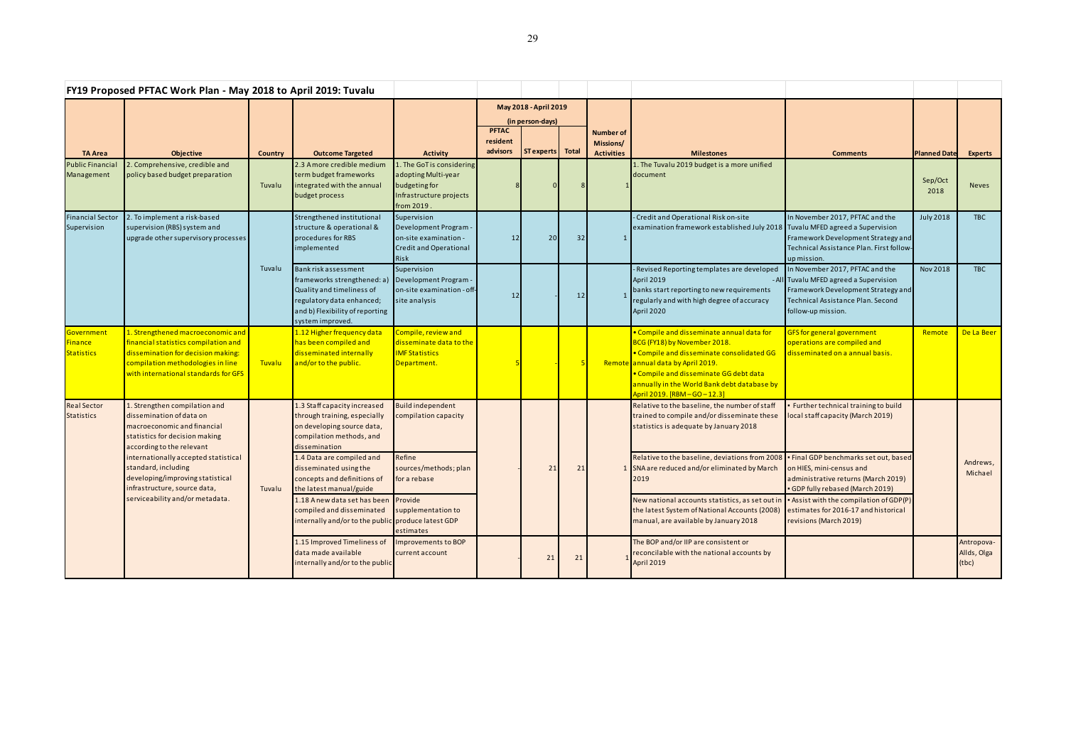|                                                   | FY19 Proposed PFTAC Work Plan - May 2018 to April 2019: Tuvalu                                                                                                                                                                                                                                                                |                |                                                                                                                                                                      |                                                                                                             |                                           |                   |       |                                                           |                                                                                                                                                                                                                                                                                   |                                                                                                                                                                            |                     |                                    |
|---------------------------------------------------|-------------------------------------------------------------------------------------------------------------------------------------------------------------------------------------------------------------------------------------------------------------------------------------------------------------------------------|----------------|----------------------------------------------------------------------------------------------------------------------------------------------------------------------|-------------------------------------------------------------------------------------------------------------|-------------------------------------------|-------------------|-------|-----------------------------------------------------------|-----------------------------------------------------------------------------------------------------------------------------------------------------------------------------------------------------------------------------------------------------------------------------------|----------------------------------------------------------------------------------------------------------------------------------------------------------------------------|---------------------|------------------------------------|
|                                                   |                                                                                                                                                                                                                                                                                                                               |                |                                                                                                                                                                      |                                                                                                             | May 2018 - April 2019<br>(in person-days) |                   |       |                                                           |                                                                                                                                                                                                                                                                                   |                                                                                                                                                                            |                     |                                    |
| <b>TA Area</b>                                    | <b>Objective</b>                                                                                                                                                                                                                                                                                                              | <b>Country</b> | <b>Outcome Targeted</b>                                                                                                                                              | <b>Activity</b>                                                                                             | <b>PFTAC</b><br>resident<br>advisors      | <b>ST</b> experts | Total | <b>Number of</b><br><b>Missions/</b><br><b>Activities</b> | <b>Milestones</b>                                                                                                                                                                                                                                                                 | <b>Comments</b>                                                                                                                                                            | <b>Planned Date</b> | <b>Experts</b>                     |
| <b>Public Financia</b><br>Management              | 2. Comprehensive, credible and<br>policy based budget preparation                                                                                                                                                                                                                                                             | Tuvalu         | 2.3 A more credible medium<br>term budget frameworks<br>integrated with the annual<br>budget process                                                                 | 1. The GoT is considering<br>adopting Multi-year<br>budgeting for<br>Infrastructure projects<br>from 2019.  |                                           |                   |       |                                                           | 1. The Tuvalu 2019 budget is a more unified<br>document                                                                                                                                                                                                                           |                                                                                                                                                                            | Sep/Oct<br>2018     | Neves                              |
| <b>Financial Sector</b><br>Supervision            | 2. To implement a risk-based<br>supervision (RBS) system and<br>upgrade other supervisory processes                                                                                                                                                                                                                           | Tuvalu         | Strengthened institutional<br>structure & operational &<br>procedures for RBS<br>implemented                                                                         | Supervision<br>Development Program<br>on-site examination -<br><b>Credit and Operational</b><br><b>Risk</b> | 12                                        | 20                | 32    |                                                           | - Credit and Operational Risk on-site<br>examination framework established July 2018 Tuvalu MFED agreed a Supervision                                                                                                                                                             | In November 2017, PFTAC and the<br>Framework Development Strategy and<br>Technical Assistance Plan. First follow-<br>up mission.                                           | <b>July 2018</b>    | <b>TBC</b>                         |
|                                                   |                                                                                                                                                                                                                                                                                                                               |                | Bank risk assessment<br>frameworks strengthened: a)<br>Quality and timeliness of<br>regulatory data enhanced;<br>and b) Flexibility of reporting<br>system improved. | Supervision<br>Development Program -<br>on-site examination - off-<br>site analysis                         | 12                                        |                   | 12    |                                                           | - Revised Reporting templates are developed<br>April 2019<br>banks start reporting to new requirements<br>regularly and with high degree of accuracy<br>April 2020                                                                                                                | In November 2017, PFTAC and the<br>- All Tuvalu MFED agreed a Supervision<br>Framework Development Strategy and<br>Technical Assistance Plan. Second<br>follow-up mission. | <b>Nov 2018</b>     | <b>TBC</b>                         |
| <b>Government</b><br>Finance<br><b>Statistics</b> | 1. Strengthened macroeconomic and<br>financial statistics compilation and<br>dissemination for decision making:<br>compilation methodologies in line<br>with international standards for GFS                                                                                                                                  | <b>Tuvalu</b>  | 1.12 Higher frequency data<br>has been compiled and<br>disseminated internally<br>and/or to the public.                                                              | Compile, review and<br>disseminate data to the<br><b>IMF Statistics</b><br>Department.                      |                                           |                   |       |                                                           | · Compile and disseminate annual data for<br>BCG (FY18) by November 2018.<br>. Compile and disseminate consolidated GG<br>Remote annual data by April 2019.<br>• Compile and disseminate GG debt data<br>annually in the World Bank debt database by<br>April 2019. [RBM-GO-12.3] | <b>GFS</b> for general government<br>operations are compiled and<br>disseminated on a annual basis.                                                                        | Remote              | De La Beer                         |
| <b>Real Sector</b><br><b>Statistics</b>           | 1. Strengthen compilation and<br>dissemination of data on<br>macroeconomic and financial<br>statistics for decision making<br>according to the relevant<br>internationally accepted statistical<br>standard, including<br>developing/improving statistical<br>infrastructure, source data,<br>serviceability and/or metadata. | Tuvalu         | 1.3 Staff capacity increased<br>through training, especially<br>on developing source data,<br>compilation methods, and<br>dissemination                              | <b>Build independent</b><br>compilation capacity                                                            |                                           | 21                | 21    |                                                           | Relative to the baseline, the number of staff<br>trained to compile and/or disseminate these<br>statistics is adequate by January 2018                                                                                                                                            | Further technical training to build<br>local staff capacity (March 2019)                                                                                                   |                     |                                    |
|                                                   |                                                                                                                                                                                                                                                                                                                               |                | 1.4 Data are compiled and<br>disseminated using the<br>concepts and definitions of<br>the latest manual/guide                                                        | Refine<br>sources/methods; plan<br>for a rebase                                                             |                                           |                   |       |                                                           | Relative to the baseline, deviations from 2008<br>SNA are reduced and/or eliminated by March<br>2019                                                                                                                                                                              | Final GDP benchmarks set out, based<br>on HIES, mini-census and<br>administrative returns (March 2019)<br>• GDP fully rebased (March 2019)                                 |                     | Andrews,<br>Michael                |
|                                                   |                                                                                                                                                                                                                                                                                                                               |                | 1.18 Anew data set has been Provide<br>compiled and disseminated<br>internally and/or to the public produce latest GDP                                               | supplementation to<br>estimates                                                                             |                                           |                   |       |                                                           | New national accounts statistics, as set out in<br>the latest System of National Accounts (2008)<br>manual, are available by January 2018                                                                                                                                         | Assist with the compilation of GDP(P)<br>estimates for 2016-17 and historical<br>revisions (March 2019)                                                                    |                     |                                    |
|                                                   |                                                                                                                                                                                                                                                                                                                               |                | 1.15 Improved Timeliness of<br>data made available<br>internally and/or to the public                                                                                | <b>Improvements to BOP</b><br>current account                                                               |                                           | 21                | 21    |                                                           | The BOP and/or IIP are consistent or<br>reconcilable with the national accounts by<br>April 2019                                                                                                                                                                                  |                                                                                                                                                                            |                     | Antropova-<br>Allds, Olga<br>(tbc) |